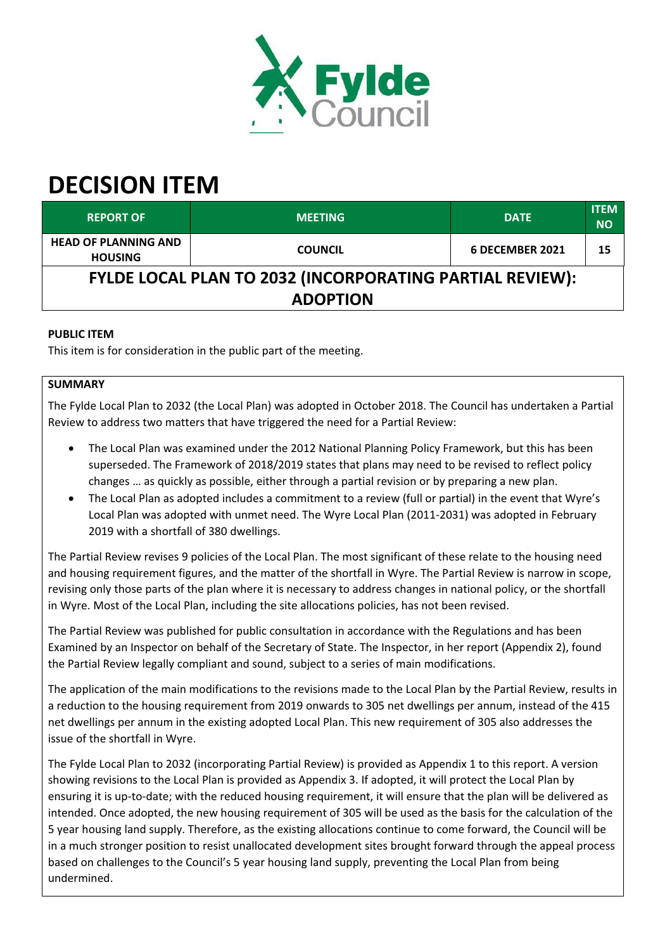

# **DECISION ITEM**

| <b>REPORT OF</b>                                                | <b>MEETING</b> | <b>DATE</b>     | <b>ITEM</b><br><b>NO</b> |  |  |
|-----------------------------------------------------------------|----------------|-----------------|--------------------------|--|--|
| <b>HEAD OF PLANNING AND</b><br><b>HOUSING</b>                   | <b>COUNCIL</b> | 6 DECEMBER 2021 | 15                       |  |  |
| <b>FYLDE LOCAL PLAN TO 2032 (INCORPORATING PARTIAL REVIEW):</b> |                |                 |                          |  |  |
| <b>ADOPTION</b>                                                 |                |                 |                          |  |  |

# **PUBLIC ITEM**

This item is for consideration in the public part of the meeting.

## **SUMMARY**

The Fylde Local Plan to 2032 (the Local Plan) was adopted in October 2018. The Council has undertaken a Partial Review to address two matters that have triggered the need for a Partial Review:

- The Local Plan was examined under the 2012 National Planning Policy Framework, but this has been superseded. The Framework of 2018/2019 states that plans may need to be revised to reflect policy changes … as quickly as possible, either through a partial revision or by preparing a new plan.
- The Local Plan as adopted includes a commitment to a review (full or partial) in the event that Wyre's Local Plan was adopted with unmet need. The Wyre Local Plan (2011‐2031) was adopted in February 2019 with a shortfall of 380 dwellings.

The Partial Review revises 9 policies of the Local Plan. The most significant of these relate to the housing need and housing requirement figures, and the matter of the shortfall in Wyre. The Partial Review is narrow in scope, revising only those parts of the plan where it is necessary to address changes in national policy, or the shortfall in Wyre. Most of the Local Plan, including the site allocations policies, has not been revised.

The Partial Review was published for public consultation in accordance with the Regulations and has been Examined by an Inspector on behalf of the Secretary of State. The Inspector, in her report (Appendix 2), found the Partial Review legally compliant and sound, subject to a series of main modifications.

The application of the main modifications to the revisions made to the Local Plan by the Partial Review, results in a reduction to the housing requirement from 2019 onwards to 305 net dwellings per annum, instead of the 415 net dwellings per annum in the existing adopted Local Plan. This new requirement of 305 also addresses the issue of the shortfall in Wyre.

The Fylde Local Plan to 2032 (incorporating Partial Review) is provided as Appendix 1 to this report. A version showing revisions to the Local Plan is provided as Appendix 3. If adopted, it will protect the Local Plan by ensuring it is up-to-date; with the reduced housing requirement, it will ensure that the plan will be delivered as intended. Once adopted, the new housing requirement of 305 will be used as the basis for the calculation of the 5 year housing land supply. Therefore, as the existing allocations continue to come forward, the Council will be in a much stronger position to resist unallocated development sites brought forward through the appeal process based on challenges to the Council's 5 year housing land supply, preventing the Local Plan from being undermined.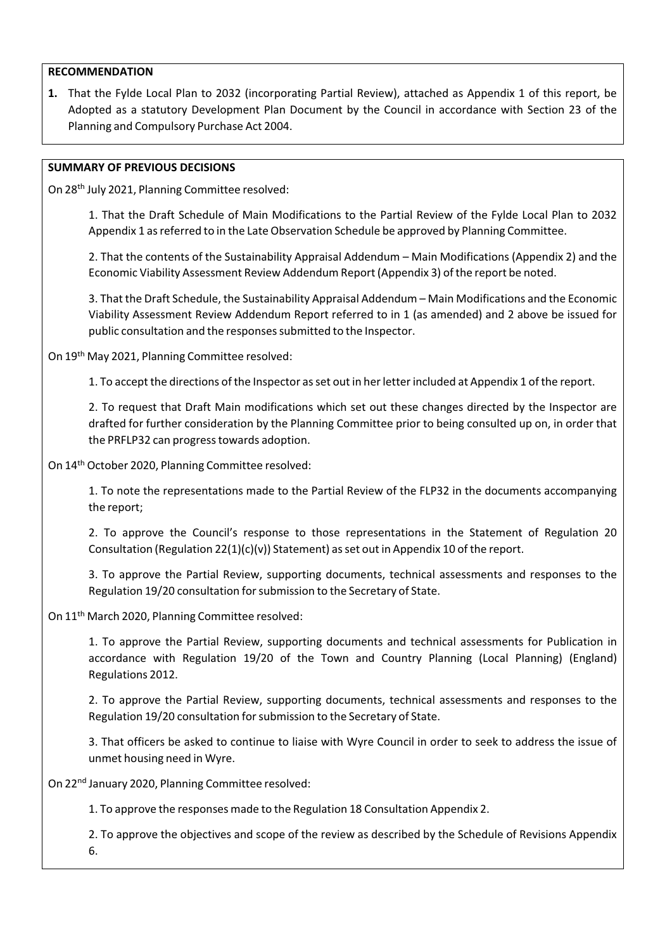#### **RECOMMENDATION**

**1.** That the Fylde Local Plan to 2032 (incorporating Partial Review), attached as Appendix 1 of this report, be Adopted as a statutory Development Plan Document by the Council in accordance with Section 23 of the Planning and Compulsory Purchase Act 2004.

#### **SUMMARY OF PREVIOUS DECISIONS**

On 28<sup>th</sup> July 2021, Planning Committee resolved:

1. That the Draft Schedule of Main Modifications to the Partial Review of the Fylde Local Plan to 2032 Appendix 1 as referred to in the Late Observation Schedule be approved by Planning Committee.

2. That the contents of the Sustainability Appraisal Addendum – Main Modifications (Appendix 2) and the Economic Viability Assessment Review Addendum Report (Appendix 3) of the report be noted.

3. That the Draft Schedule, the Sustainability Appraisal Addendum – Main Modifications and the Economic Viability Assessment Review Addendum Report referred to in 1 (as amended) and 2 above be issued for public consultation and the responses submitted to the Inspector.

On 19<sup>th</sup> May 2021, Planning Committee resolved:

1. To accept the directions of the Inspector as set out in her letter included at Appendix 1 of the report.

2. To request that Draft Main modifications which set out these changes directed by the Inspector are drafted for further consideration by the Planning Committee prior to being consulted up on, in order that the PRFLP32 can progresstowards adoption.

On 14 th October 2020, Planning Committee resolved:

1. To note the representations made to the Partial Review of the FLP32 in the documents accompanying the report;

2. To approve the Council's response to those representations in the Statement of Regulation 20 Consultation (Regulation 22(1)(c)(v)) Statement) as set out in Appendix 10 of the report.

3. To approve the Partial Review, supporting documents, technical assessments and responses to the Regulation 19/20 consultation for submission to the Secretary of State.

On 11<sup>th</sup> March 2020, Planning Committee resolved:

1. To approve the Partial Review, supporting documents and technical assessments for Publication in accordance with Regulation 19/20 of the Town and Country Planning (Local Planning) (England) Regulations 2012.

2. To approve the Partial Review, supporting documents, technical assessments and responses to the Regulation 19/20 consultation forsubmission to the Secretary of State.

3. That officers be asked to continue to liaise with Wyre Council in order to seek to address the issue of unmet housing need in Wyre.

On 22<sup>nd</sup> January 2020, Planning Committee resolved:

1. To approve the responses made to the Regulation 18 Consultation Appendix 2.

2. To approve the objectives and scope of the review as described by the Schedule of Revisions Appendix 6.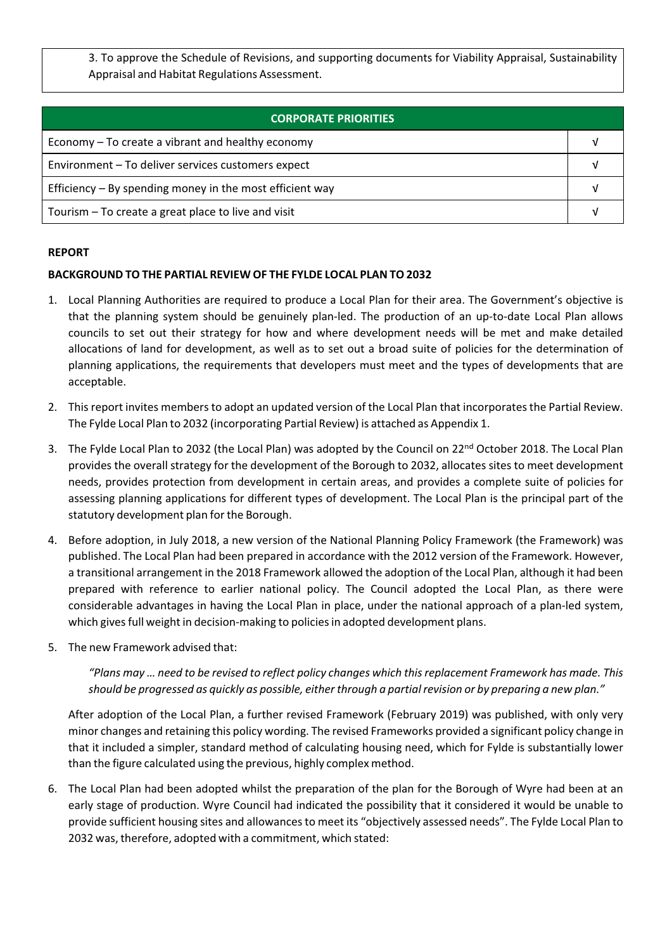3. To approve the Schedule of Revisions, and supporting documents for Viability Appraisal, Sustainability Appraisal and Habitat Regulations Assessment.

| <b>CORPORATE PRIORITIES</b>                                |  |  |
|------------------------------------------------------------|--|--|
| Economy – To create a vibrant and healthy economy          |  |  |
| Environment - To deliver services customers expect         |  |  |
| Efficiency $-$ By spending money in the most efficient way |  |  |
| Tourism - To create a great place to live and visit        |  |  |

#### **REPORT**

## **BACKGROUND TO THE PARTIAL REVIEW OF THE FYLDE LOCAL PLAN TO 2032**

- 1. Local Planning Authorities are required to produce a Local Plan for their area. The Government's objective is that the planning system should be genuinely plan‐led. The production of an up‐to‐date Local Plan allows councils to set out their strategy for how and where development needs will be met and make detailed allocations of land for development, as well as to set out a broad suite of policies for the determination of planning applications, the requirements that developers must meet and the types of developments that are acceptable.
- 2. Thisreport invites members to adopt an updated version of the Local Plan that incorporatesthe Partial Review. The Fylde Local Plan to 2032 (incorporating Partial Review) is attached as Appendix 1.
- 3. The Fylde Local Plan to 2032 (the Local Plan) was adopted by the Council on 22<sup>nd</sup> October 2018. The Local Plan provides the overall strategy for the development of the Borough to 2032, allocates sites to meet development needs, provides protection from development in certain areas, and provides a complete suite of policies for assessing planning applications for different types of development. The Local Plan is the principal part of the statutory development plan for the Borough.
- 4. Before adoption, in July 2018, a new version of the National Planning Policy Framework (the Framework) was published. The Local Plan had been prepared in accordance with the 2012 version of the Framework. However, a transitional arrangement in the 2018 Framework allowed the adoption of the Local Plan, although it had been prepared with reference to earlier national policy. The Council adopted the Local Plan, as there were considerable advantages in having the Local Plan in place, under the national approach of a plan‐led system, which gives full weight in decision-making to policies in adopted development plans.
- 5. The new Framework advised that:

*"Plans may … need to be revised to reflect policy changes which thisreplacement Framework has made. This should be progressed as quickly as possible, eitherthrough a partialrevision or by preparing a new plan."*

After adoption of the Local Plan, a further revised Framework (February 2019) was published, with only very minor changes and retaining this policy wording. The revised Frameworks provided a significant policy change in that it included a simpler, standard method of calculating housing need, which for Fylde is substantially lower than the figure calculated using the previous, highly complex method.

6. The Local Plan had been adopted whilst the preparation of the plan for the Borough of Wyre had been at an early stage of production. Wyre Council had indicated the possibility that it considered it would be unable to provide sufficient housing sites and allowancesto meet its "objectively assessed needs". The Fylde Local Plan to 2032 was, therefore, adopted with a commitment, which stated: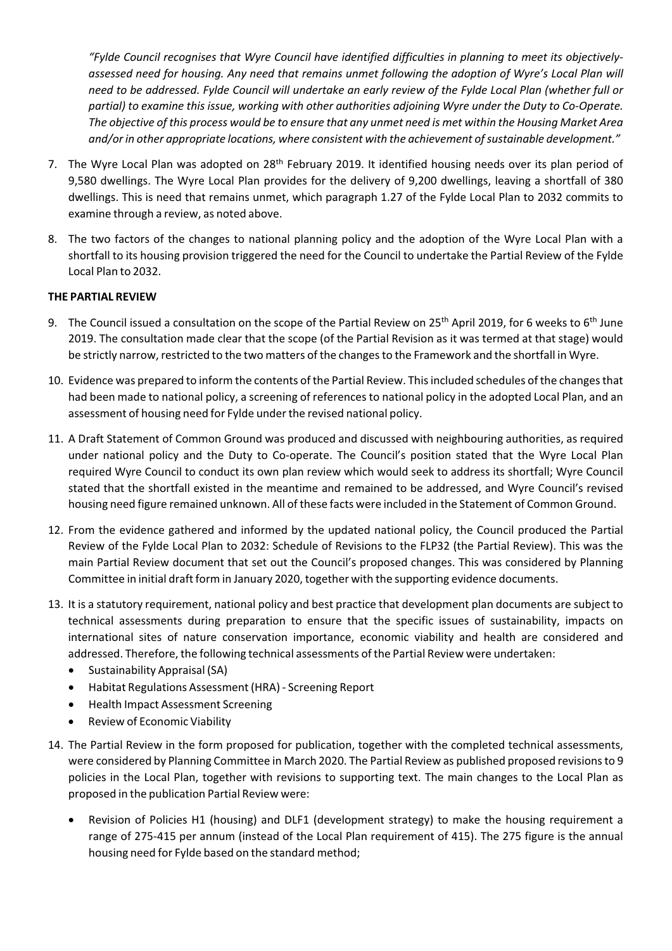*"Fylde Council recognises that Wyre Council have identified difficulties in planning to meet its objectively‐ assessed need for housing. Any need that remains unmet following the adoption of Wyre's Local Plan will* need to be addressed. Fylde Council will undertake an early review of the Fylde Local Plan (whether full or *partial) to examine this issue, working with other authorities adjoining Wyre under the Duty to Co‐Operate.* The objective of this process would be to ensure that any unmet need is met within the Housing Market Area *and/or in other appropriate locations, where consistent with the achievement ofsustainable development."*

- 7. The Wyre Local Plan was adopted on 28<sup>th</sup> February 2019. It identified housing needs over its plan period of 9,580 dwellings. The Wyre Local Plan provides for the delivery of 9,200 dwellings, leaving a shortfall of 380 dwellings. This is need that remains unmet, which paragraph 1.27 of the Fylde Local Plan to 2032 commits to examine through a review, as noted above.
- 8. The two factors of the changes to national planning policy and the adoption of the Wyre Local Plan with a shortfall to its housing provision triggered the need for the Council to undertake the Partial Review of the Fylde Local Plan to 2032.

#### **THE PARTIAL REVIEW**

- 9. The Council issued a consultation on the scope of the Partial Review on 25<sup>th</sup> April 2019, for 6 weeks to 6<sup>th</sup> June 2019. The consultation made clear that the scope (of the Partial Revision as it was termed at that stage) would be strictly narrow, restricted to the two matters of the changes to the Framework and the shortfall in Wyre.
- 10. Evidence was prepared to inform the contents of the Partial Review. Thisincluded schedules of the changesthat had been made to national policy, a screening of referencesto national policy in the adopted Local Plan, and an assessment of housing need for Fylde under the revised national policy.
- 11. A Draft Statement of Common Ground was produced and discussed with neighbouring authorities, as required under national policy and the Duty to Co-operate. The Council's position stated that the Wyre Local Plan required Wyre Council to conduct its own plan review which would seek to address its shortfall; Wyre Council stated that the shortfall existed in the meantime and remained to be addressed, and Wyre Council's revised housing need figure remained unknown. All of these facts were included in the Statement of Common Ground.
- 12. From the evidence gathered and informed by the updated national policy, the Council produced the Partial Review of the Fylde Local Plan to 2032: Schedule of Revisions to the FLP32 (the Partial Review). This was the main Partial Review document that set out the Council's proposed changes. This was considered by Planning Committee in initial draft form in January 2020, together with the supporting evidence documents.
- 13. It is a statutory requirement, national policy and best practice that development plan documents are subject to technical assessments during preparation to ensure that the specific issues of sustainability, impacts on international sites of nature conservation importance, economic viability and health are considered and addressed. Therefore, the following technical assessments of the Partial Review were undertaken:
	- Sustainability Appraisal (SA)
	- Habitat Regulations Assessment (HRA) ‐ Screening Report
	- Health Impact Assessment Screening
	- Review of Economic Viability
- 14. The Partial Review in the form proposed for publication, together with the completed technical assessments, were considered by Planning Committee in March 2020. The Partial Review as published proposed revisionsto 9 policies in the Local Plan, together with revisions to supporting text. The main changes to the Local Plan as proposed in the publication Partial Review were:
	- Revision of Policies H1 (housing) and DLF1 (development strategy) to make the housing requirement a range of 275-415 per annum (instead of the Local Plan requirement of 415). The 275 figure is the annual housing need for Fylde based on the standard method;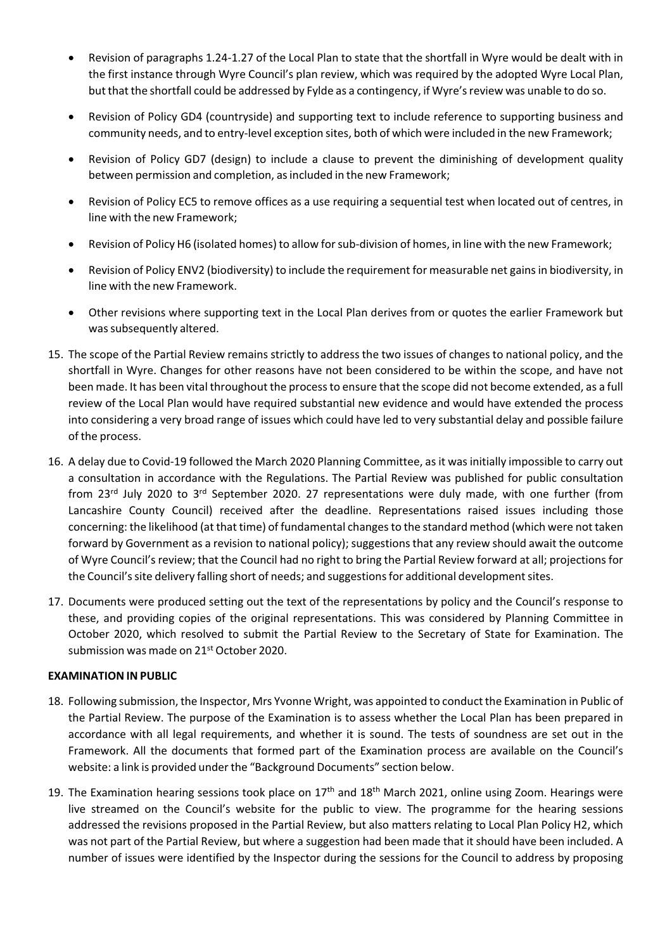- Revision of paragraphs 1.24‐1.27 of the Local Plan to state that the shortfall in Wyre would be dealt with in the first instance through Wyre Council's plan review, which was required by the adopted Wyre Local Plan, but that the shortfall could be addressed by Fylde as a contingency, if Wyre's review was unable to do so.
- Revision of Policy GD4 (countryside) and supporting text to include reference to supporting business and community needs, and to entry‐level exception sites, both of which were included in the new Framework;
- Revision of Policy GD7 (design) to include a clause to prevent the diminishing of development quality between permission and completion, as included in the new Framework;
- Revision of Policy EC5 to remove offices as a use requiring a sequential test when located out of centres, in line with the new Framework;
- Revision of Policy H6 (isolated homes) to allow for sub-division of homes, in line with the new Framework;
- Revision of Policy ENV2 (biodiversity) to include the requirement for measurable net gainsin biodiversity, in line with the new Framework.
- Other revisions where supporting text in the Local Plan derives from or quotes the earlier Framework but was subsequently altered.
- 15. The scope of the Partial Review remains strictly to address the two issues of changes to national policy, and the shortfall in Wyre. Changes for other reasons have not been considered to be within the scope, and have not been made. It has been vital throughout the processto ensure that the scope did not become extended, as a full review of the Local Plan would have required substantial new evidence and would have extended the process into considering a very broad range of issues which could have led to very substantial delay and possible failure of the process.
- 16. A delay due to Covid-19 followed the March 2020 Planning Committee, as it was initially impossible to carry out a consultation in accordance with the Regulations. The Partial Review was published for public consultation from 23<sup>rd</sup> July 2020 to 3<sup>rd</sup> September 2020. 27 representations were duly made, with one further (from Lancashire County Council) received after the deadline. Representations raised issues including those concerning: the likelihood (at that time) of fundamental changesto the standard method (which were not taken forward by Government as a revision to national policy); suggestions that any review should await the outcome of Wyre Council's review; that the Council had no right to bring the Partial Review forward at all; projections for the Council's site delivery falling short of needs; and suggestions for additional development sites.
- 17. Documents were produced setting out the text of the representations by policy and the Council's response to these, and providing copies of the original representations. This was considered by Planning Committee in October 2020, which resolved to submit the Partial Review to the Secretary of State for Examination. The submission was made on 21<sup>st</sup> October 2020.

## **EXAMINATION IN PUBLIC**

- 18. Following submission, the Inspector, Mrs Yvonne Wright, was appointed to conduct the Examination in Public of the Partial Review. The purpose of the Examination is to assess whether the Local Plan has been prepared in accordance with all legal requirements, and whether it is sound. The tests of soundness are set out in the Framework. All the documents that formed part of the Examination process are available on the Council's website: a link is provided under the "Background Documents" section below.
- 19. The Examination hearing sessions took place on 17<sup>th</sup> and 18<sup>th</sup> March 2021, online using Zoom. Hearings were live streamed on the Council's website for the public to view. The programme for the hearing sessions addressed the revisions proposed in the Partial Review, but also matters relating to Local Plan Policy H2, which was not part of the Partial Review, but where a suggestion had been made that it should have been included. A number of issues were identified by the Inspector during the sessions for the Council to address by proposing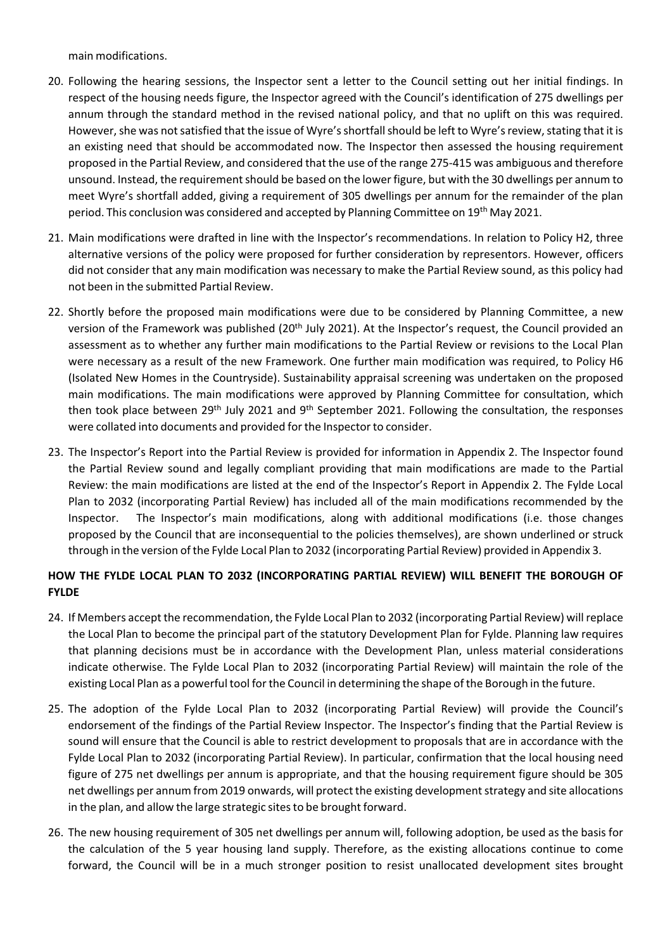main modifications.

- 20. Following the hearing sessions, the Inspector sent a letter to the Council setting out her initial findings. In respect of the housing needs figure, the Inspector agreed with the Council's identification of 275 dwellings per annum through the standard method in the revised national policy, and that no uplift on this was required. However, she was not satisfied that the issue of Wyre's shortfall should be left to Wyre's review, stating that it is an existing need that should be accommodated now. The Inspector then assessed the housing requirement proposed in the Partial Review, and considered that the use of the range 275‐415 was ambiguous and therefore unsound. Instead, the requirement should be based on the lower figure, but with the 30 dwellings per annum to meet Wyre's shortfall added, giving a requirement of 305 dwellings per annum for the remainder of the plan period. This conclusion was considered and accepted by Planning Committee on 19<sup>th</sup> May 2021.
- 21. Main modifications were drafted in line with the Inspector's recommendations. In relation to Policy H2, three alternative versions of the policy were proposed for further consideration by representors. However, officers did not consider that any main modification was necessary to make the Partial Review sound, as this policy had not been in the submitted Partial Review.
- 22. Shortly before the proposed main modifications were due to be considered by Planning Committee, a new version of the Framework was published (20<sup>th</sup> July 2021). At the Inspector's request, the Council provided an assessment as to whether any further main modifications to the Partial Review or revisions to the Local Plan were necessary as a result of the new Framework. One further main modification was required, to Policy H6 (Isolated New Homes in the Countryside). Sustainability appraisal screening was undertaken on the proposed main modifications. The main modifications were approved by Planning Committee for consultation, which then took place between 29<sup>th</sup> July 2021 and 9<sup>th</sup> September 2021. Following the consultation, the responses were collated into documents and provided for the Inspector to consider.
- 23. The Inspector's Report into the Partial Review is provided for information in Appendix 2. The Inspector found the Partial Review sound and legally compliant providing that main modifications are made to the Partial Review: the main modifications are listed at the end of the Inspector's Report in Appendix 2. The Fylde Local Plan to 2032 (incorporating Partial Review) has included all of the main modifications recommended by the Inspector. The Inspector's main modifications, along with additional modifications (i.e. those changes proposed by the Council that are inconsequential to the policies themselves), are shown underlined or struck through in the version of the Fylde Local Plan to 2032 (incorporating Partial Review) provided in Appendix 3.

# **HOW THE FYLDE LOCAL PLAN TO 2032 (INCORPORATING PARTIAL REVIEW) WILL BENEFIT THE BOROUGH OF FYLDE**

- 24. If Members accept the recommendation, the Fylde Local Plan to 2032 (incorporating Partial Review) willreplace the Local Plan to become the principal part of the statutory Development Plan for Fylde. Planning law requires that planning decisions must be in accordance with the Development Plan, unless material considerations indicate otherwise. The Fylde Local Plan to 2032 (incorporating Partial Review) will maintain the role of the existing Local Plan as a powerful tool forthe Council in determining the shape of the Borough in the future.
- 25. The adoption of the Fylde Local Plan to 2032 (incorporating Partial Review) will provide the Council's endorsement of the findings of the Partial Review Inspector. The Inspector's finding that the Partial Review is sound will ensure that the Council is able to restrict development to proposals that are in accordance with the Fylde Local Plan to 2032 (incorporating Partial Review). In particular, confirmation that the local housing need figure of 275 net dwellings per annum is appropriate, and that the housing requirement figure should be 305 net dwellings per annum from 2019 onwards, will protect the existing developmentstrategy and site allocations in the plan, and allow the large strategic sites to be brought forward.
- 26. The new housing requirement of 305 net dwellings per annum will, following adoption, be used as the basis for the calculation of the 5 year housing land supply. Therefore, as the existing allocations continue to come forward, the Council will be in a much stronger position to resist unallocated development sites brought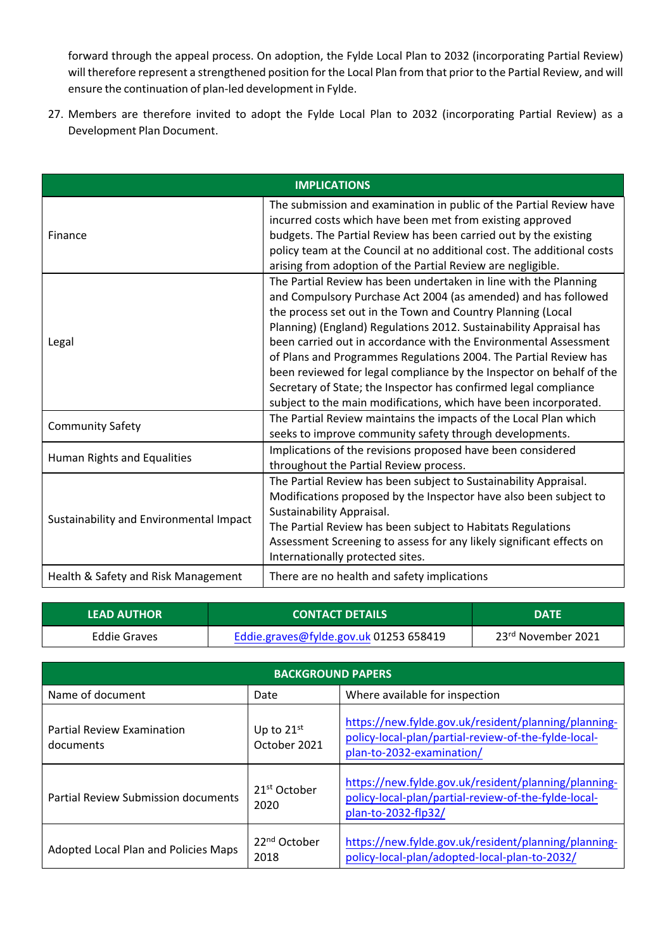forward through the appeal process. On adoption, the Fylde Local Plan to 2032 (incorporating Partial Review) will therefore represent a strengthened position for the Local Plan from that prior to the Partial Review, and will ensure the continuation of plan‐led development in Fylde.

27. Members are therefore invited to adopt the Fylde Local Plan to 2032 (incorporating Partial Review) as a Development Plan Document.

| <b>IMPLICATIONS</b>                     |                                                                                                                                                                                                                                                                                                                                                                                                                                                                                                                                                                                                                                 |  |  |  |
|-----------------------------------------|---------------------------------------------------------------------------------------------------------------------------------------------------------------------------------------------------------------------------------------------------------------------------------------------------------------------------------------------------------------------------------------------------------------------------------------------------------------------------------------------------------------------------------------------------------------------------------------------------------------------------------|--|--|--|
| Finance                                 | The submission and examination in public of the Partial Review have<br>incurred costs which have been met from existing approved<br>budgets. The Partial Review has been carried out by the existing<br>policy team at the Council at no additional cost. The additional costs<br>arising from adoption of the Partial Review are negligible.                                                                                                                                                                                                                                                                                   |  |  |  |
| Legal                                   | The Partial Review has been undertaken in line with the Planning<br>and Compulsory Purchase Act 2004 (as amended) and has followed<br>the process set out in the Town and Country Planning (Local<br>Planning) (England) Regulations 2012. Sustainability Appraisal has<br>been carried out in accordance with the Environmental Assessment<br>of Plans and Programmes Regulations 2004. The Partial Review has<br>been reviewed for legal compliance by the Inspector on behalf of the<br>Secretary of State; the Inspector has confirmed legal compliance<br>subject to the main modifications, which have been incorporated. |  |  |  |
| <b>Community Safety</b>                 | The Partial Review maintains the impacts of the Local Plan which<br>seeks to improve community safety through developments.                                                                                                                                                                                                                                                                                                                                                                                                                                                                                                     |  |  |  |
| Human Rights and Equalities             | Implications of the revisions proposed have been considered<br>throughout the Partial Review process.                                                                                                                                                                                                                                                                                                                                                                                                                                                                                                                           |  |  |  |
| Sustainability and Environmental Impact | The Partial Review has been subject to Sustainability Appraisal.<br>Modifications proposed by the Inspector have also been subject to<br>Sustainability Appraisal.<br>The Partial Review has been subject to Habitats Regulations<br>Assessment Screening to assess for any likely significant effects on<br>Internationally protected sites.                                                                                                                                                                                                                                                                                   |  |  |  |
| Health & Safety and Risk Management     | There are no health and safety implications                                                                                                                                                                                                                                                                                                                                                                                                                                                                                                                                                                                     |  |  |  |

| <b>LEAD AUTHOR</b> | <b>CONTACT DETAILS</b>                 | <b>DATE</b>                    |
|--------------------|----------------------------------------|--------------------------------|
| Eddie Graves       | Eddie.graves@fylde.gov.uk 01253 658419 | 23 <sup>rd</sup> November 2021 |

| <b>BACKGROUND PAPERS</b>                       |                                  |                                                                                                                                           |  |  |
|------------------------------------------------|----------------------------------|-------------------------------------------------------------------------------------------------------------------------------------------|--|--|
| Name of document                               | Date                             | Where available for inspection                                                                                                            |  |  |
| <b>Partial Review Examination</b><br>documents | Up to $21st$<br>October 2021     | https://new.fylde.gov.uk/resident/planning/planning-<br>policy-local-plan/partial-review-of-the-fylde-local-<br>plan-to-2032-examination/ |  |  |
| <b>Partial Review Submission documents</b>     | 21 <sup>st</sup> October<br>2020 | https://new.fylde.gov.uk/resident/planning/planning-<br>policy-local-plan/partial-review-of-the-fylde-local-<br>plan-to-2032-flp32/       |  |  |
| Adopted Local Plan and Policies Maps           | 22 <sup>nd</sup> October<br>2018 | https://new.fylde.gov.uk/resident/planning/planning-<br>policy-local-plan/adopted-local-plan-to-2032/                                     |  |  |